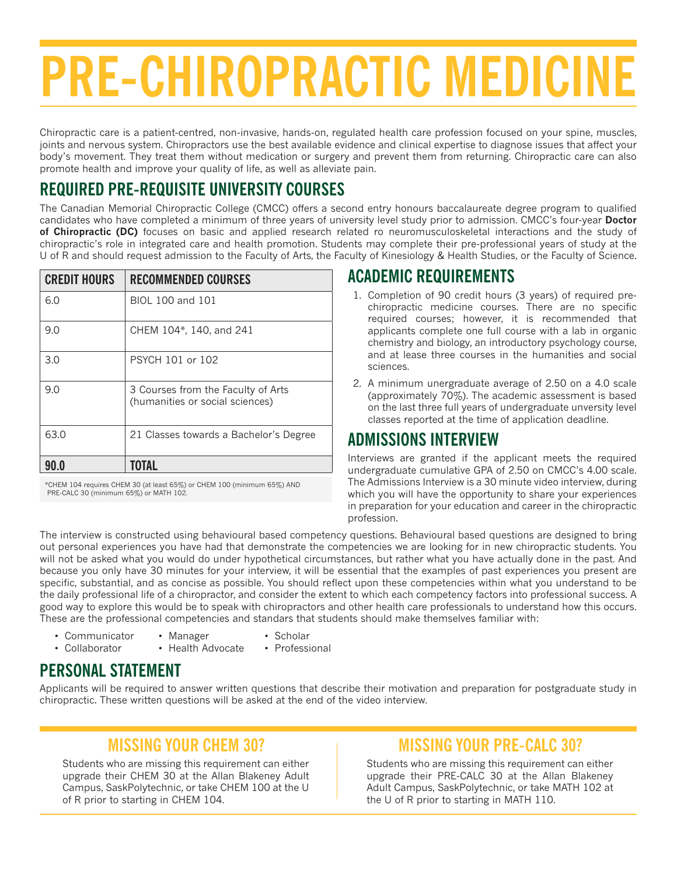# **PRE-CHIROPRACTIC MEDICIN**

Chiropractic care is a patient-centred, non-invasive, hands-on, regulated health care profession focused on your spine, muscles, joints and nervous system. Chiropractors use the best available evidence and clinical expertise to diagnose issues that affect your body's movement. They treat them without medication or surgery and prevent them from returning. Chiropractic care can also promote health and improve your quality of life, as well as alleviate pain.

# **REQUIRED PRE-REQUISITE UNIVERSITY COURSES**

The Canadian Memorial Chiropractic College (CMCC) offers a second entry honours baccalaureate degree program to qualified candidates who have completed a minimum of three years of university level study prior to admission. CMCC's four-year **Doctor of Chiropractic (DC)** focuses on basic and applied research related ro neuromusculoskeletal interactions and the study of chiropractic's role in integrated care and health promotion. Students may complete their pre-professional years of study at the U of R and should request admission to the Faculty of Arts, the Faculty of Kinesiology & Health Studies, or the Faculty of Science.

| <b>CREDIT HOURS</b> | <b>RECOMMENDED COURSES</b>                                            |
|---------------------|-----------------------------------------------------------------------|
| 6.0                 | BIOL 100 and 101                                                      |
| 9.0                 | CHEM 104*, 140, and 241                                               |
| 3.0                 | PSYCH 101 or 102                                                      |
| 9.0                 | 3 Courses from the Faculty of Arts<br>(humanities or social sciences) |
| 63.0                | 21 Classes towards a Bachelor's Degree                                |
|                     |                                                                       |

 \*CHEM 104 requires CHEM 30 (at least 65%) or CHEM 100 (minimum 65%) AND PRE-CALC 30 (minimum 65%) or MATH 102.

# **ACADEMIC REQUIREMENTS**

- 1. Completion of 90 credit hours (3 years) of required prechiropractic medicine courses. There are no specific required courses; however, it is recommended that applicants complete one full course with a lab in organic chemistry and biology, an introductory psychology course, and at lease three courses in the humanities and social sciences.
- 2. A minimum unergraduate average of 2.50 on a 4.0 scale (approximately 70%). The academic assessment is based on the last three full years of undergraduate unversity level classes reported at the time of application deadline.

# **ADMISSIONS INTERVIEW**

Interviews are granted if the applicant meets the required undergraduate cumulative GPA of 2.50 on CMCC's 4.00 scale. The Admissions Interview is a 30 minute video interview, during which you will have the opportunity to share your experiences in preparation for your education and career in the chiropractic profession.

The interview is constructed using behavioural based competency questions. Behavioural based questions are designed to bring out personal experiences you have had that demonstrate the competencies we are looking for in new chiropractic students. You will not be asked what you would do under hypothetical circumstances, but rather what you have actually done in the past. And because you only have 30 minutes for your interview, it will be essential that the examples of past experiences you present are specific, substantial, and as concise as possible. You should reflect upon these competencies within what you understand to be the daily professional life of a chiropractor, and consider the extent to which each competency factors into professional success. A good way to explore this would be to speak with chiropractors and other health care professionals to understand how this occurs. These are the professional competencies and standars that students should make themselves familiar with:

- Communicator
- Manager
- Scholar
- Collaborator
- Health Advocate
- Professional
- **PERSONAL STATEMENT**

Applicants will be required to answer written questions that describe their motivation and preparation for postgraduate study in chiropractic. These written questions will be asked at the end of the video interview.

# **MISSING YOUR CHEM 30?**

Students who are missing this requirement can either upgrade their CHEM 30 at the Allan Blakeney Adult Campus, SaskPolytechnic, or take CHEM 100 at the U of R prior to starting in CHEM 104.

# **MISSING YOUR PRE-CALC 30?**

Students who are missing this requirement can either upgrade their PRE-CALC 30 at the Allan Blakeney Adult Campus, SaskPolytechnic, or take MATH 102 at the U of R prior to starting in MATH 110.